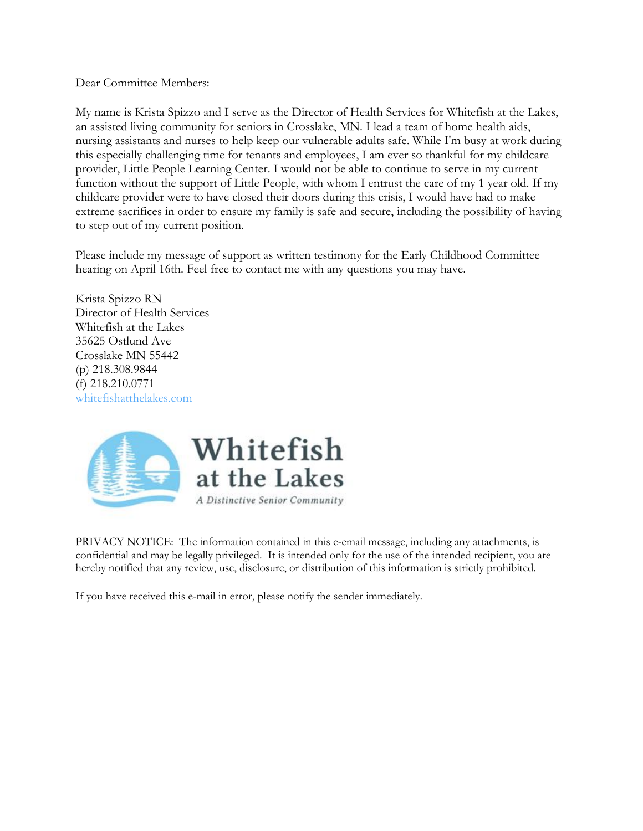My name is Krista Spizzo and I serve as the Director of Health Services for Whitefish at the Lakes, an assisted living community for seniors in Crosslake, MN. I lead a team of home health aids, nursing assistants and nurses to help keep our vulnerable adults safe. While I'm busy at work during this especially challenging time for tenants and employees, I am ever so thankful for my childcare provider, Little People Learning Center. I would not be able to continue to serve in my current function without the support of Little People, with whom I entrust the care of my 1 year old. If my childcare provider were to have closed their doors during this crisis, I would have had to make extreme sacrifices in order to ensure my family is safe and secure, including the possibility of having to step out of my current position.

Please include my message of support as written testimony for the Early Childhood Committee hearing on April 16th. Feel free to contact me with any questions you may have.

Krista Spizzo RN Director of Health Services Whitefish at the Lakes 35625 Ostlund Ave Crosslake MN 55442 (p) 218.308.9844 (f) 218.210.0771 whitefishatthelakes.com



PRIVACY NOTICE: The information contained in this e-email message, including any attachments, is confidential and may be legally privileged. It is intended only for the use of the intended recipient, you are hereby notified that any review, use, disclosure, or distribution of this information is strictly prohibited.

If you have received this e-mail in error, please notify the sender immediately.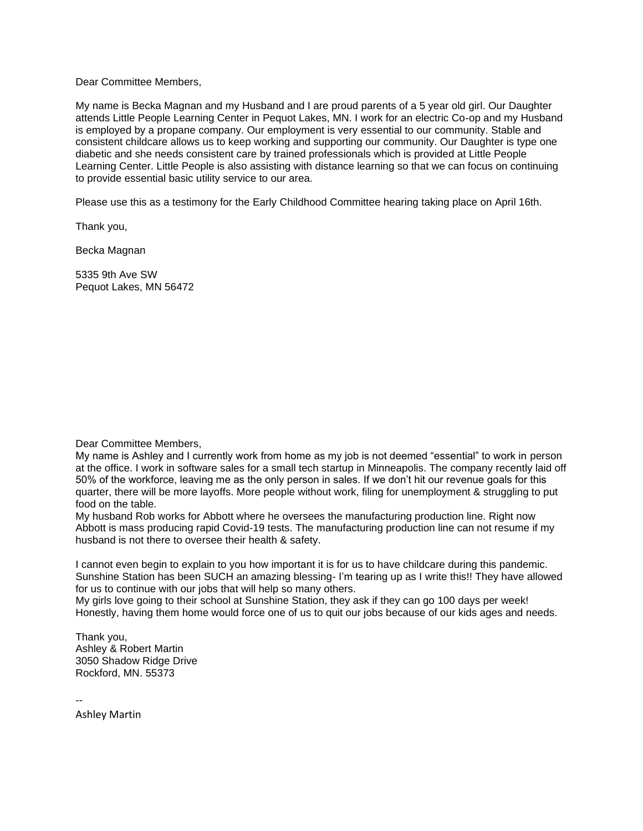My name is Becka Magnan and my Husband and I are proud parents of a 5 year old girl. Our Daughter attends Little People Learning Center in Pequot Lakes, MN. I work for an electric Co-op and my Husband is employed by a propane company. Our employment is very essential to our community. Stable and consistent childcare allows us to keep working and supporting our community. Our Daughter is type one diabetic and she needs consistent care by trained professionals which is provided at Little People Learning Center. Little People is also assisting with distance learning so that we can focus on continuing to provide essential basic utility service to our area.

Please use this as a testimony for the Early Childhood Committee hearing taking place on April 16th.

Thank you,

Becka Magnan

5335 9th Ave SW Pequot Lakes, MN 56472

Dear Committee Members,

My name is Ashley and I currently work from home as my job is not deemed "essential" to work in person at the office. I work in software sales for a small tech startup in Minneapolis. The company recently laid off 50% of the workforce, leaving me as the only person in sales. If we don't hit our revenue goals for this quarter, there will be more layoffs. More people without work, filing for unemployment & struggling to put food on the table.

My husband Rob works for Abbott where he oversees the manufacturing production line. Right now Abbott is mass producing rapid Covid-19 tests. The manufacturing production line can not resume if my husband is not there to oversee their health & safety.

I cannot even begin to explain to you how important it is for us to have childcare during this pandemic. Sunshine Station has been SUCH an amazing blessing- I'm tearing up as I write this!! They have allowed for us to continue with our jobs that will help so many others.

My girls love going to their school at Sunshine Station, they ask if they can go 100 days per week! Honestly, having them home would force one of us to quit our jobs because of our kids ages and needs.

Thank you, Ashley & Robert Martin 3050 Shadow Ridge Drive Rockford, MN. 55373

--

Ashley Martin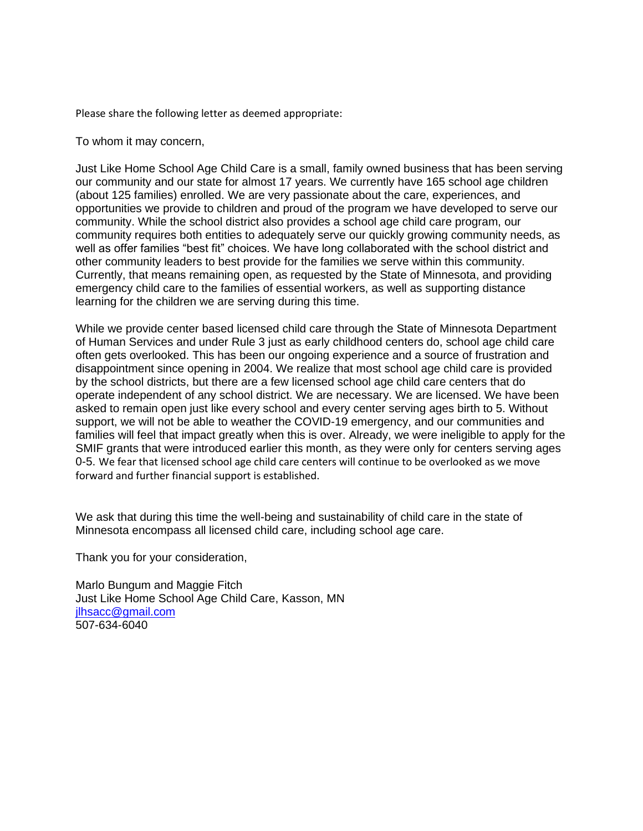Please share the following letter as deemed appropriate:

To whom it may concern,

Just Like Home School Age Child Care is a small, family owned business that has been serving our community and our state for almost 17 years. We currently have 165 school age children (about 125 families) enrolled. We are very passionate about the care, experiences, and opportunities we provide to children and proud of the program we have developed to serve our community. While the school district also provides a school age child care program, our community requires both entities to adequately serve our quickly growing community needs, as well as offer families "best fit" choices. We have long collaborated with the school district and other community leaders to best provide for the families we serve within this community. Currently, that means remaining open, as requested by the State of Minnesota, and providing emergency child care to the families of essential workers, as well as supporting distance learning for the children we are serving during this time.

While we provide center based licensed child care through the State of Minnesota Department of Human Services and under Rule 3 just as early childhood centers do, school age child care often gets overlooked. This has been our ongoing experience and a source of frustration and disappointment since opening in 2004. We realize that most school age child care is provided by the school districts, but there are a few licensed school age child care centers that do operate independent of any school district. We are necessary. We are licensed. We have been asked to remain open just like every school and every center serving ages birth to 5. Without support, we will not be able to weather the COVID-19 emergency, and our communities and families will feel that impact greatly when this is over. Already, we were ineligible to apply for the SMIF grants that were introduced earlier this month, as they were only for centers serving ages 0-5. We fear that licensed school age child care centers will continue to be overlooked as we move forward and further financial support is established.

We ask that during this time the well-being and sustainability of child care in the state of Minnesota encompass all licensed child care, including school age care.

Thank you for your consideration,

Marlo Bungum and Maggie Fitch Just Like Home School Age Child Care, Kasson, MN [jlhsacc@gmail.com](mailto:jlhsacc@gmail.com) 507-634-6040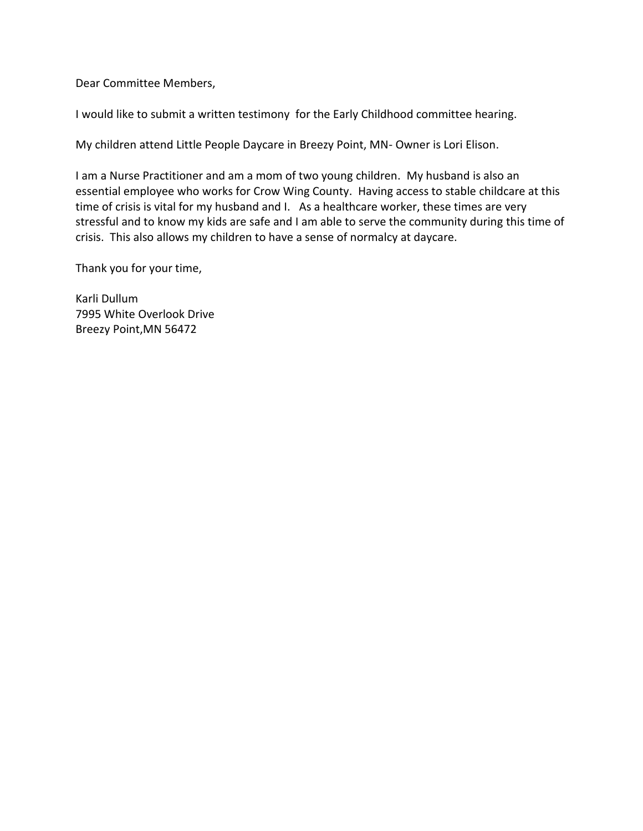I would like to submit a written testimony for the Early Childhood committee hearing.

My children attend Little People Daycare in Breezy Point, MN- Owner is Lori Elison.

I am a Nurse Practitioner and am a mom of two young children. My husband is also an essential employee who works for Crow Wing County. Having access to stable childcare at this time of crisis is vital for my husband and I. As a healthcare worker, these times are very stressful and to know my kids are safe and I am able to serve the community during this time of crisis. This also allows my children to have a sense of normalcy at daycare.

Thank you for your time,

Karli Dullum 7995 White Overlook Drive Breezy Point,MN 56472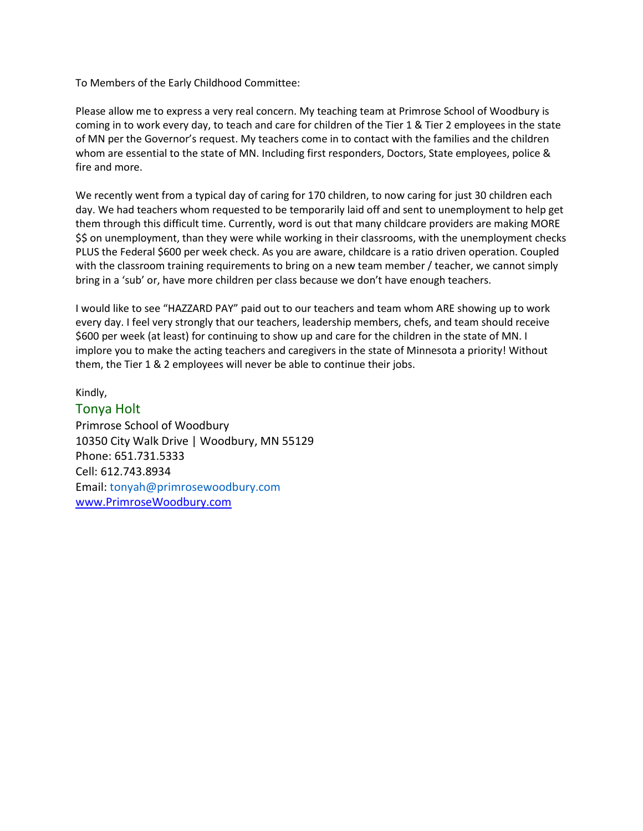To Members of the Early Childhood Committee:

Please allow me to express a very real concern. My teaching team at Primrose School of Woodbury is coming in to work every day, to teach and care for children of the Tier 1 & Tier 2 employees in the state of MN per the Governor's request. My teachers come in to contact with the families and the children whom are essential to the state of MN. Including first responders, Doctors, State employees, police & fire and more.

We recently went from a typical day of caring for 170 children, to now caring for just 30 children each day. We had teachers whom requested to be temporarily laid off and sent to unemployment to help get them through this difficult time. Currently, word is out that many childcare providers are making MORE \$\$ on unemployment, than they were while working in their classrooms, with the unemployment checks PLUS the Federal \$600 per week check. As you are aware, childcare is a ratio driven operation. Coupled with the classroom training requirements to bring on a new team member / teacher, we cannot simply bring in a 'sub' or, have more children per class because we don't have enough teachers.

I would like to see "HAZZARD PAY" paid out to our teachers and team whom ARE showing up to work every day. I feel very strongly that our teachers, leadership members, chefs, and team should receive \$600 per week (at least) for continuing to show up and care for the children in the state of MN. I implore you to make the acting teachers and caregivers in the state of Minnesota a priority! Without them, the Tier 1 & 2 employees will never be able to continue their jobs.

Kindly,

Tonya Holt Primrose School of Woodbury 10350 City Walk Drive | Woodbury, MN 55129 Phone: 651.731.5333 Cell: 612.743.8934 Email: tonyah@primrosewoodbury.com [www.PrimroseWoodbury.com](http://www.primrosewoodbury.com/)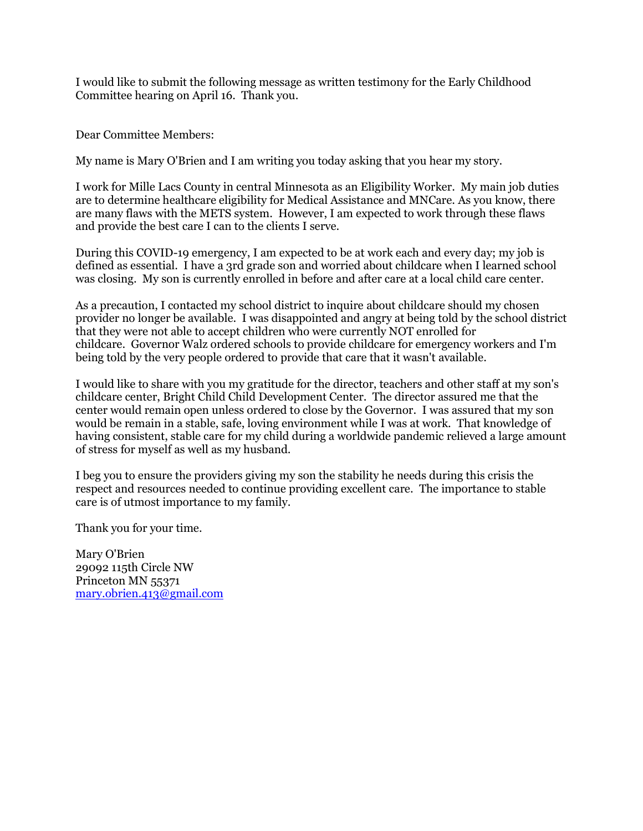I would like to submit the following message as written testimony for the Early Childhood Committee hearing on April 16. Thank you.

Dear Committee Members:

My name is Mary O'Brien and I am writing you today asking that you hear my story.

I work for Mille Lacs County in central Minnesota as an Eligibility Worker. My main job duties are to determine healthcare eligibility for Medical Assistance and MNCare. As you know, there are many flaws with the METS system. However, I am expected to work through these flaws and provide the best care I can to the clients I serve.

During this COVID-19 emergency, I am expected to be at work each and every day; my job is defined as essential. I have a 3rd grade son and worried about childcare when I learned school was closing. My son is currently enrolled in before and after care at a local child care center.

As a precaution, I contacted my school district to inquire about childcare should my chosen provider no longer be available. I was disappointed and angry at being told by the school district that they were not able to accept children who were currently NOT enrolled for childcare. Governor Walz ordered schools to provide childcare for emergency workers and I'm being told by the very people ordered to provide that care that it wasn't available.

I would like to share with you my gratitude for the director, teachers and other staff at my son's childcare center, Bright Child Child Development Center. The director assured me that the center would remain open unless ordered to close by the Governor. I was assured that my son would be remain in a stable, safe, loving environment while I was at work. That knowledge of having consistent, stable care for my child during a worldwide pandemic relieved a large amount of stress for myself as well as my husband.

I beg you to ensure the providers giving my son the stability he needs during this crisis the respect and resources needed to continue providing excellent care. The importance to stable care is of utmost importance to my family.

Thank you for your time.

Mary O'Brien 29092 115th Circle NW Princeton MN 55371 [mary.obrien.413@gmail.com](mailto:mary.obrien.413@gmail.com)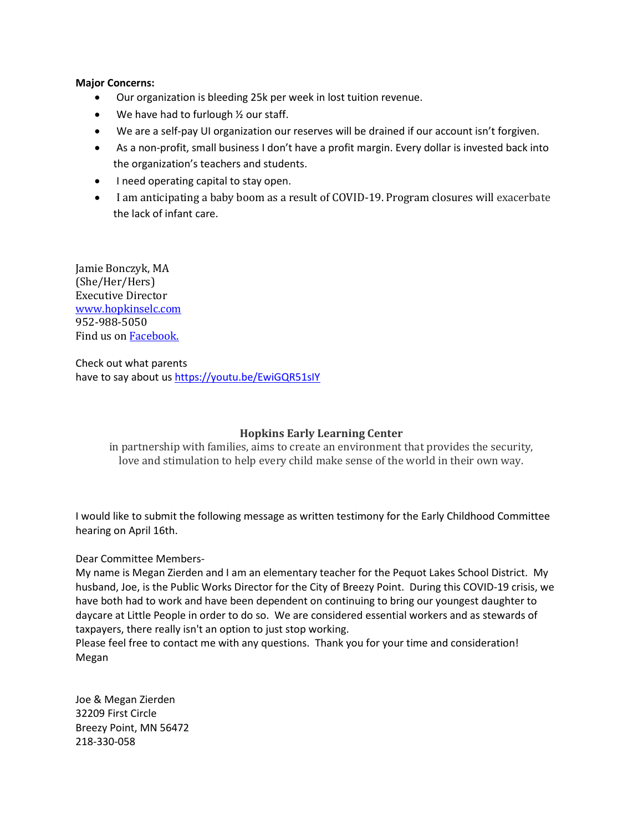## **Major Concerns:**

- Our organization is bleeding 25k per week in lost tuition revenue.
- We have had to furlough 1/2 our staff.
- We are a self-pay UI organization our reserves will be drained if our account isn't forgiven.
- As a non-profit, small business I don't have a profit margin. Every dollar is invested back into the organization's teachers and students.
- I need operating capital to stay open.
- I am anticipating a baby boom as a result of COVID-19. Program closures will exacerbate the lack of infant care.

Jamie Bonczyk, MA (She/Her/Hers) Executive Director [www.hopkinselc.com](http://www.hopkinselc.com/) 952-988-5050 Find us on **Facebook**.

Check out what parents have to say about us<https://youtu.be/EwiGQR51sIY>

# **Hopkins Early Learning Center**

in partnership with families, aims to create an environment that provides the security, love and stimulation to help every child make sense of the world in their own way.

I would like to submit the following message as written testimony for the Early Childhood Committee hearing on April 16th.

# Dear Committee Members-

My name is Megan Zierden and I am an elementary teacher for the Pequot Lakes School District. My husband, Joe, is the Public Works Director for the City of Breezy Point. During this COVID-19 crisis, we have both had to work and have been dependent on continuing to bring our youngest daughter to daycare at Little People in order to do so. We are considered essential workers and as stewards of taxpayers, there really isn't an option to just stop working.

Please feel free to contact me with any questions. Thank you for your time and consideration! Megan

Joe & Megan Zierden 32209 First Circle Breezy Point, MN 56472 218-330-058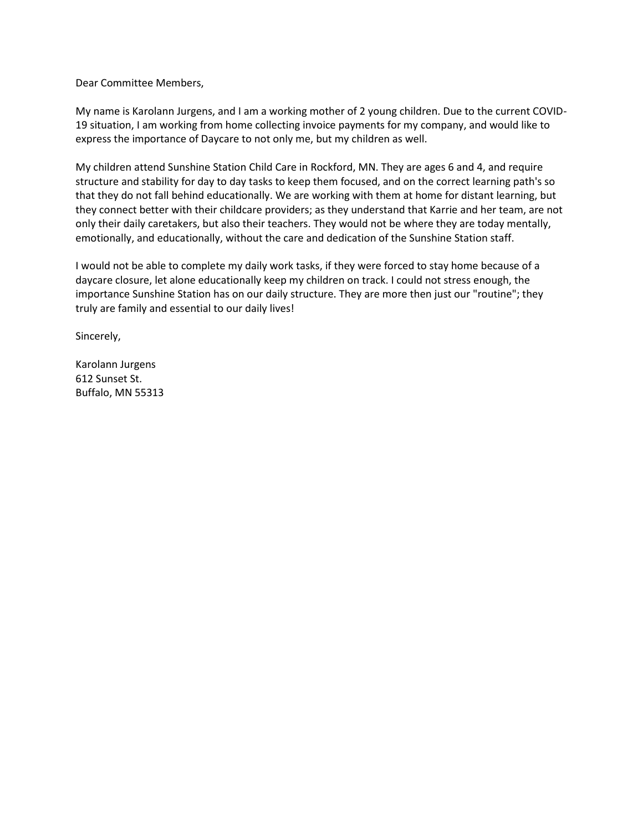My name is Karolann Jurgens, and I am a working mother of 2 young children. Due to the current COVID-19 situation, I am working from home collecting invoice payments for my company, and would like to express the importance of Daycare to not only me, but my children as well.

My children attend Sunshine Station Child Care in Rockford, MN. They are ages 6 and 4, and require structure and stability for day to day tasks to keep them focused, and on the correct learning path's so that they do not fall behind educationally. We are working with them at home for distant learning, but they connect better with their childcare providers; as they understand that Karrie and her team, are not only their daily caretakers, but also their teachers. They would not be where they are today mentally, emotionally, and educationally, without the care and dedication of the Sunshine Station staff.

I would not be able to complete my daily work tasks, if they were forced to stay home because of a daycare closure, let alone educationally keep my children on track. I could not stress enough, the importance Sunshine Station has on our daily structure. They are more then just our "routine"; they truly are family and essential to our daily lives!

Sincerely,

Karolann Jurgens 612 Sunset St. Buffalo, MN 55313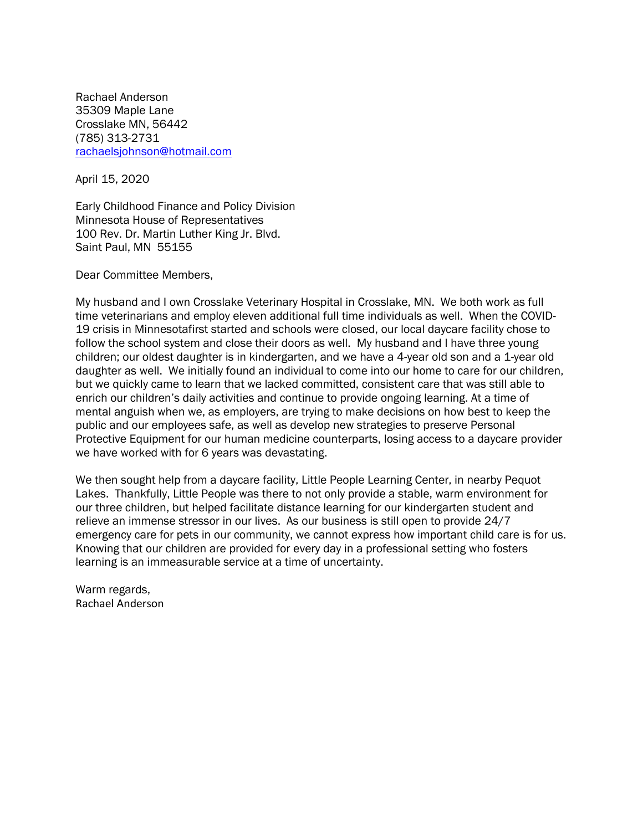Rachael Anderson 35309 Maple Lane Crosslake MN, 56442 (785) 313-2731 [rachaelsjohnson@hotmail.com](mailto:rachaelsjohnson@hotmail.com)

April 15, 2020

Early Childhood Finance and Policy Division Minnesota House of Representatives 100 Rev. Dr. Martin Luther King Jr. Blvd. Saint Paul, MN 55155

Dear Committee Members,

My husband and I own Crosslake Veterinary Hospital in Crosslake, MN. We both work as full time veterinarians and employ eleven additional full time individuals as well. When the COVID-19 crisis in Minnesotafirst started and schools were closed, our local daycare facility chose to follow the school system and close their doors as well. My husband and I have three young children; our oldest daughter is in kindergarten, and we have a 4-year old son and a 1-year old daughter as well. We initially found an individual to come into our home to care for our children, but we quickly came to learn that we lacked committed, consistent care that was still able to enrich our children's daily activities and continue to provide ongoing learning. At a time of mental anguish when we, as employers, are trying to make decisions on how best to keep the public and our employees safe, as well as develop new strategies to preserve Personal Protective Equipment for our human medicine counterparts, losing access to a daycare provider we have worked with for 6 years was devastating.

We then sought help from a daycare facility, Little People Learning Center, in nearby Pequot Lakes. Thankfully, Little People was there to not only provide a stable, warm environment for our three children, but helped facilitate distance learning for our kindergarten student and relieve an immense stressor in our lives. As our business is still open to provide 24/7 emergency care for pets in our community, we cannot express how important child care is for us. Knowing that our children are provided for every day in a professional setting who fosters learning is an immeasurable service at a time of uncertainty.

Warm regards, Rachael Anderson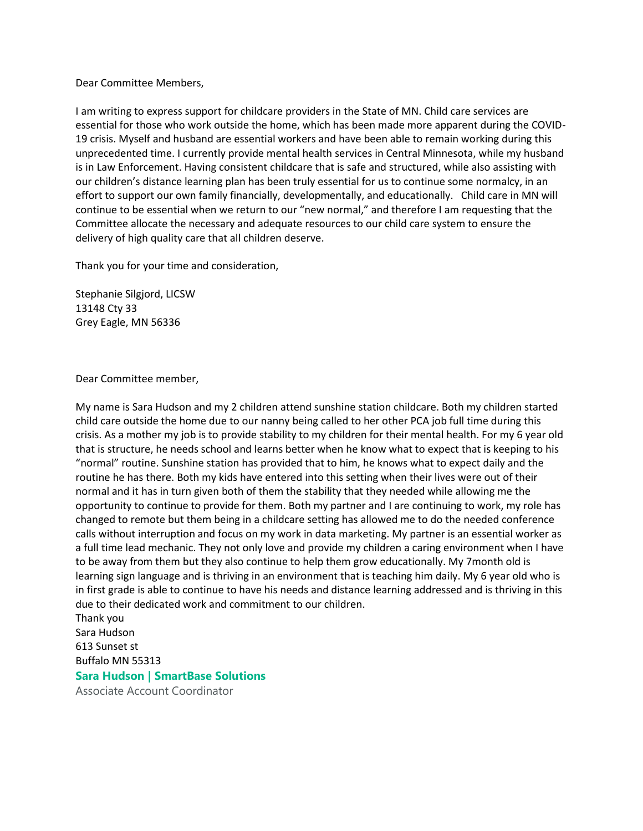I am writing to express support for childcare providers in the State of MN. Child care services are essential for those who work outside the home, which has been made more apparent during the COVID-19 crisis. Myself and husband are essential workers and have been able to remain working during this unprecedented time. I currently provide mental health services in Central Minnesota, while my husband is in Law Enforcement. Having consistent childcare that is safe and structured, while also assisting with our children's distance learning plan has been truly essential for us to continue some normalcy, in an effort to support our own family financially, developmentally, and educationally. Child care in MN will continue to be essential when we return to our "new normal," and therefore I am requesting that the Committee allocate the necessary and adequate resources to our child care system to ensure the delivery of high quality care that all children deserve.

Thank you for your time and consideration,

Stephanie Silgjord, LICSW 13148 Cty 33 Grey Eagle, MN 56336

Dear Committee member,

My name is Sara Hudson and my 2 children attend sunshine station childcare. Both my children started child care outside the home due to our nanny being called to her other PCA job full time during this crisis. As a mother my job is to provide stability to my children for their mental health. For my 6 year old that is structure, he needs school and learns better when he know what to expect that is keeping to his "normal" routine. Sunshine station has provided that to him, he knows what to expect daily and the routine he has there. Both my kids have entered into this setting when their lives were out of their normal and it has in turn given both of them the stability that they needed while allowing me the opportunity to continue to provide for them. Both my partner and I are continuing to work, my role has changed to remote but them being in a childcare setting has allowed me to do the needed conference calls without interruption and focus on my work in data marketing. My partner is an essential worker as a full time lead mechanic. They not only love and provide my children a caring environment when I have to be away from them but they also continue to help them grow educationally. My 7month old is learning sign language and is thriving in an environment that is teaching him daily. My 6 year old who is in first grade is able to continue to have his needs and distance learning addressed and is thriving in this due to their dedicated work and commitment to our children.

Thank you Sara Hudson 613 Sunset st Buffalo MN 55313

### **Sara Hudson | SmartBase Solutions**

Associate Account Coordinator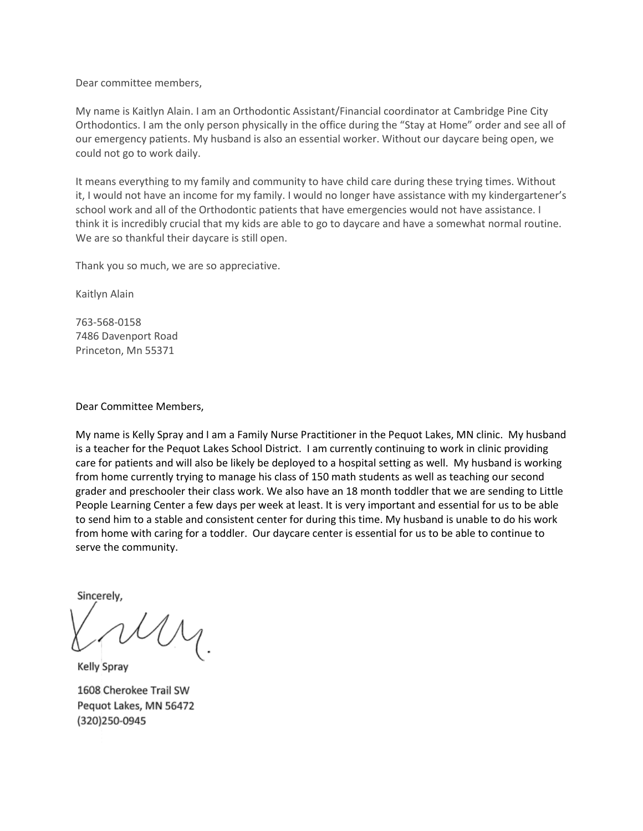My name is Kaitlyn Alain. I am an Orthodontic Assistant/Financial coordinator at Cambridge Pine City Orthodontics. I am the only person physically in the office during the "Stay at Home" order and see all of our emergency patients. My husband is also an essential worker. Without our daycare being open, we could not go to work daily.

It means everything to my family and community to have child care during these trying times. Without it, I would not have an income for my family. I would no longer have assistance with my kindergartener's school work and all of the Orthodontic patients that have emergencies would not have assistance. I think it is incredibly crucial that my kids are able to go to daycare and have a somewhat normal routine. We are so thankful their daycare is still open.

Thank you so much, we are so appreciative.

Kaitlyn Alain

763-568-0158 7486 Davenport Road Princeton, Mn 55371

#### Dear Committee Members,

My name is Kelly Spray and I am a Family Nurse Practitioner in the Pequot Lakes, MN clinic. My husband is a teacher for the Pequot Lakes School District. I am currently continuing to work in clinic providing care for patients and will also be likely be deployed to a hospital setting as well. My husband is working from home currently trying to manage his class of 150 math students as well as teaching our second grader and preschooler their class work. We also have an 18 month toddler that we are sending to Little People Learning Center a few days per week at least. It is very important and essential for us to be able to send him to a stable and consistent center for during this time. My husband is unable to do his work from home with caring for a toddler. Our daycare center is essential for us to be able to continue to serve the community.

Sincerely.

Kelly Spray

1608 Cherokee Trail SW Pequot Lakes, MN 56472 (320)250-0945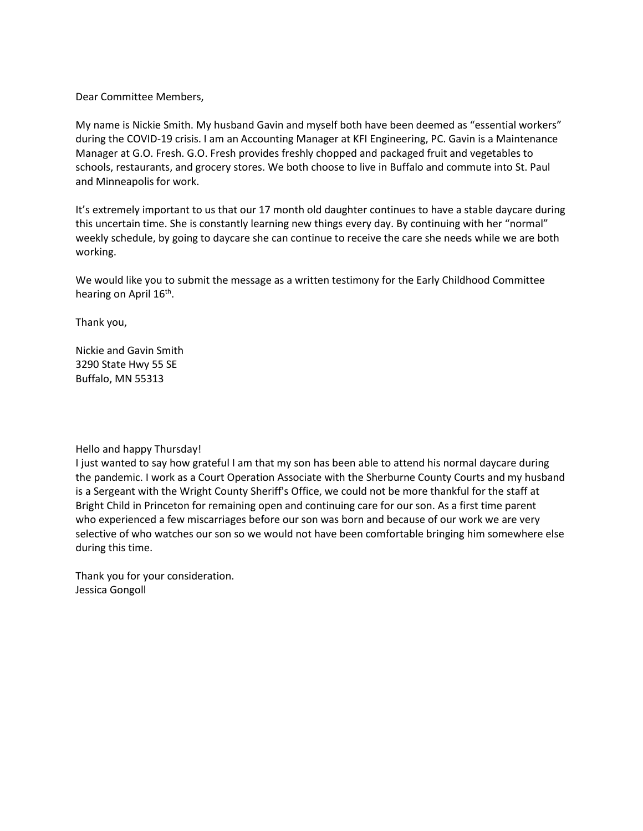My name is Nickie Smith. My husband Gavin and myself both have been deemed as "essential workers" during the COVID-19 crisis. I am an Accounting Manager at KFI Engineering, PC. Gavin is a Maintenance Manager at G.O. Fresh. G.O. Fresh provides freshly chopped and packaged fruit and vegetables to schools, restaurants, and grocery stores. We both choose to live in Buffalo and commute into St. Paul and Minneapolis for work.

It's extremely important to us that our 17 month old daughter continues to have a stable daycare during this uncertain time. She is constantly learning new things every day. By continuing with her "normal" weekly schedule, by going to daycare she can continue to receive the care she needs while we are both working.

We would like you to submit the message as a written testimony for the Early Childhood Committee hearing on April 16<sup>th</sup>.

Thank you,

Nickie and Gavin Smith 3290 State Hwy 55 SE Buffalo, MN 55313

#### Hello and happy Thursday!

I just wanted to say how grateful I am that my son has been able to attend his normal daycare during the pandemic. I work as a Court Operation Associate with the Sherburne County Courts and my husband is a Sergeant with the Wright County Sheriff's Office, we could not be more thankful for the staff at Bright Child in Princeton for remaining open and continuing care for our son. As a first time parent who experienced a few miscarriages before our son was born and because of our work we are very selective of who watches our son so we would not have been comfortable bringing him somewhere else during this time.

Thank you for your consideration. Jessica Gongoll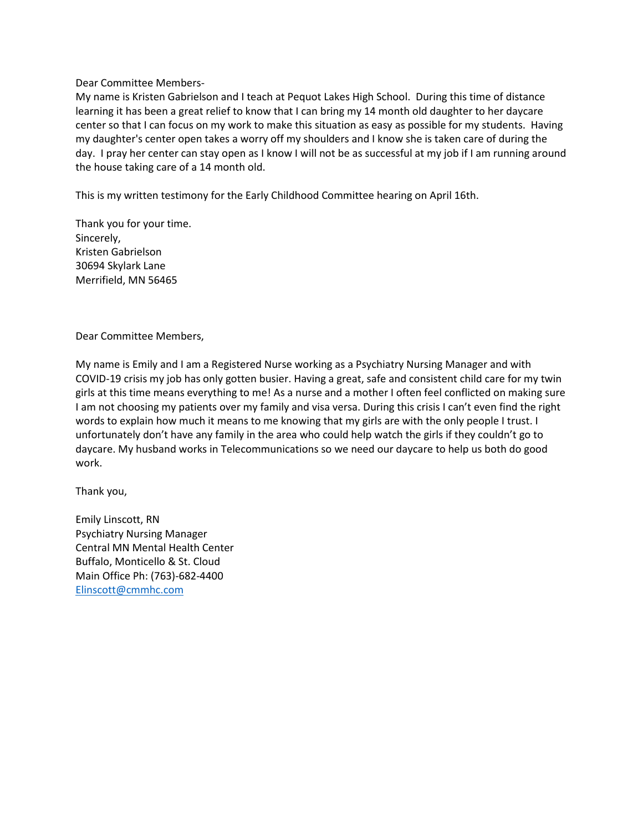My name is Kristen Gabrielson and I teach at Pequot Lakes High School. During this time of distance learning it has been a great relief to know that I can bring my 14 month old daughter to her daycare center so that I can focus on my work to make this situation as easy as possible for my students. Having my daughter's center open takes a worry off my shoulders and I know she is taken care of during the day. I pray her center can stay open as I know I will not be as successful at my job if I am running around the house taking care of a 14 month old.

This is my written testimony for the Early Childhood Committee hearing on April 16th.

Thank you for your time. Sincerely, Kristen Gabrielson 30694 Skylark Lane Merrifield, MN 56465

Dear Committee Members,

My name is Emily and I am a Registered Nurse working as a Psychiatry Nursing Manager and with COVID-19 crisis my job has only gotten busier. Having a great, safe and consistent child care for my twin girls at this time means everything to me! As a nurse and a mother I often feel conflicted on making sure I am not choosing my patients over my family and visa versa. During this crisis I can't even find the right words to explain how much it means to me knowing that my girls are with the only people I trust. I unfortunately don't have any family in the area who could help watch the girls if they couldn't go to daycare. My husband works in Telecommunications so we need our daycare to help us both do good work.

Thank you,

Emily Linscott, RN Psychiatry Nursing Manager Central MN Mental Health Center Buffalo, Monticello & St. Cloud Main Office Ph: (763)-682-4400 [Elinscott@cmmhc.com](mailto:Elinscott@cmmhc.com)